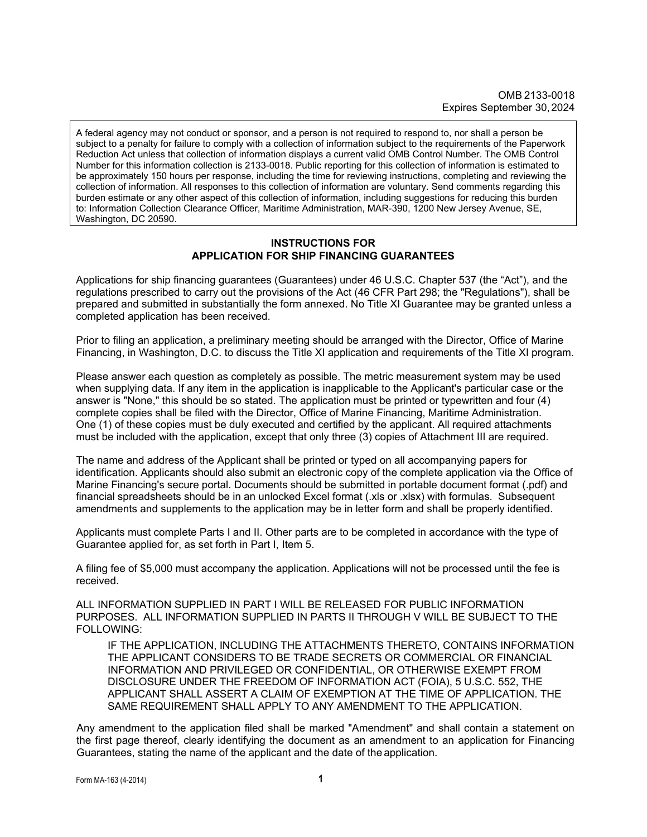A federal agency may not conduct or sponsor, and a person is not required to respond to, nor shall a person be subject to a penalty for failure to comply with a collection of information subject to the requirements of the Paperwork Reduction Act unless that collection of information displays a current valid OMB Control Number. The OMB Control Number for this information collection is 2133-0018. Public reporting for this collection of information is estimated to be approximately 150 hours per response, including the time for reviewing instructions, completing and reviewing the collection of information. All responses to this collection of information are voluntary. Send comments regarding this burden estimate or any other aspect of this collection of information, including suggestions for reducing this burden to: Information Collection Clearance Officer, Maritime Administration, MAR-390, 1200 New Jersey Avenue, SE, Washington, DC 20590.

#### **INSTRUCTIONS FOR APPLICATION FOR SHIP FINANCING GUARANTEES**

Applications for ship financing guarantees (Guarantees) under 46 U.S.C. Chapter 537 (the "Act"), and the regulations prescribed to carry out the provisions of the Act (46 CFR Part 298; the "Regulations"), shall be prepared and submitted in substantially the form annexed. No Title XI Guarantee may be granted unless a completed application has been received.

Prior to filing an application, a preliminary meeting should be arranged with the Director, Office of Marine Financing, in Washington, D.C. to discuss the Title XI application and requirements of the Title XI program.

Please answer each question as completely as possible. The metric measurement system may be used when supplying data. If any item in the application is inapplicable to the Applicant's particular case or the answer is "None," this should be so stated. The application must be printed or typewritten and four (4) complete copies shall be filed with the Director, Office of Marine Financing, Maritime Administration. One (1) of these copies must be duly executed and certified by the applicant. All required attachments must be included with the application, except that only three (3) copies of Attachment III are required.

The name and address of the Applicant shall be printed or typed on all accompanying papers for identification. Applicants should also submit an electronic copy of the complete application via the Office of Marine Financing's secure portal. Documents should be submitted in portable document format (.pdf) and financial spreadsheets should be in an unlocked Excel format (.xls or .xlsx) with formulas. Subsequent amendments and supplements to the application may be in letter form and shall be properly identified.

Applicants must complete Parts I and II. Other parts are to be completed in accordance with the type of Guarantee applied for, as set forth in Part I, Item 5.

A filing fee of \$5,000 must accompany the application. Applications will not be processed until the fee is received.

ALL INFORMATION SUPPLIED IN PART I WILL BE RELEASED FOR PUBLIC INFORMATION PURPOSES. ALL INFORMATION SUPPLIED IN PARTS II THROUGH V WILL BE SUBJECT TO THE FOLLOWING:

IF THE APPLICATION, INCLUDING THE ATTACHMENTS THERETO, CONTAINS INFORMATION THE APPLICANT CONSIDERS TO BE TRADE SECRETS OR COMMERCIAL OR FINANCIAL INFORMATION AND PRIVILEGED OR CONFIDENTIAL, OR OTHERWISE EXEMPT FROM DISCLOSURE UNDER THE FREEDOM OF INFORMATION ACT (FOIA), 5 U.S.C. 552, THE APPLICANT SHALL ASSERT A CLAIM OF EXEMPTION AT THE TIME OF APPLICATION. THE SAME REQUIREMENT SHALL APPLY TO ANY AMENDMENT TO THE APPLICATION.

Any amendment to the application filed shall be marked "Amendment" and shall contain a statement on the first page thereof, clearly identifying the document as an amendment to an application for Financing Guarantees, stating the name of the applicant and the date of the application.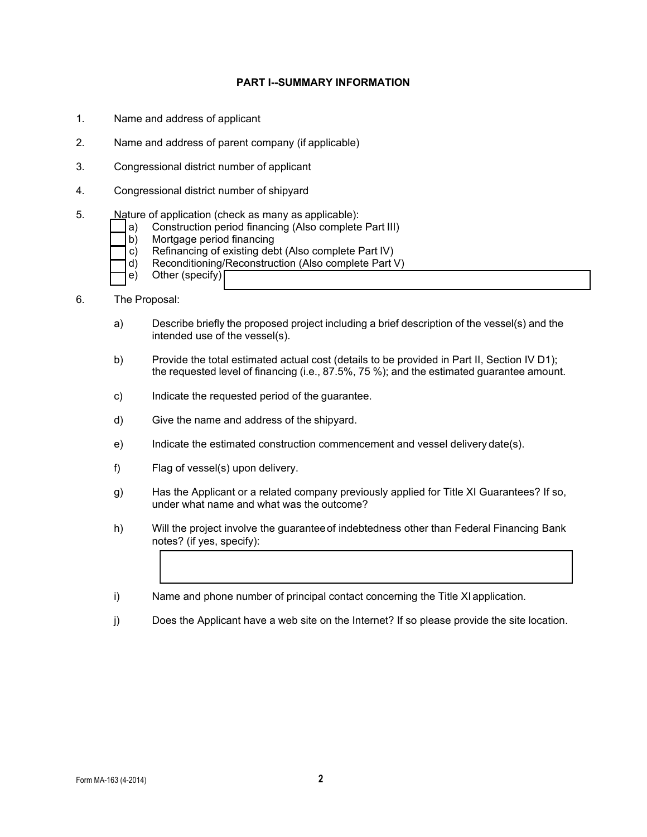### **PART I--SUMMARY INFORMATION**

- 1. Name and address of applicant
- 2. Name and address of parent company (if applicable)
- 3. Congressional district number of applicant
- 4. Congressional district number of shipyard
- 5. Nature of application (check as many as applicable):
	- a) Construction period financing (Also complete Part III)
	- Mortgage period financing
	- c) Refinancing of existing debt (Also complete Part IV)
	- d) Reconditioning/Reconstruction (Also complete Part V)
	- e) Other (specify)
- 6. The Proposal:
	- a) Describe briefly the proposed project including a brief description of the vessel(s) and the intended use of the vessel(s).
	- b) Provide the total estimated actual cost (details to be provided in Part II, Section IV D1); the requested level of financing (i.e., 87.5%, 75 %); and the estimated guarantee amount.
	- c) Indicate the requested period of the guarantee.
	- d) Give the name and address of the shipyard.
	- e) Indicate the estimated construction commencement and vessel delivery date(s).
	- f) Flag of vessel(s) upon delivery.
	- g) Has the Applicant or a related company previously applied for Title XI Guarantees? If so, under what name and what was the outcome?
	- h) Will the project involve the guaranteeof indebtedness other than Federal Financing Bank notes? (if yes, specify):
	- i) Name and phone number of principal contact concerning the Title XI application.
	- j) Does the Applicant have a web site on the Internet? If so please provide the site location.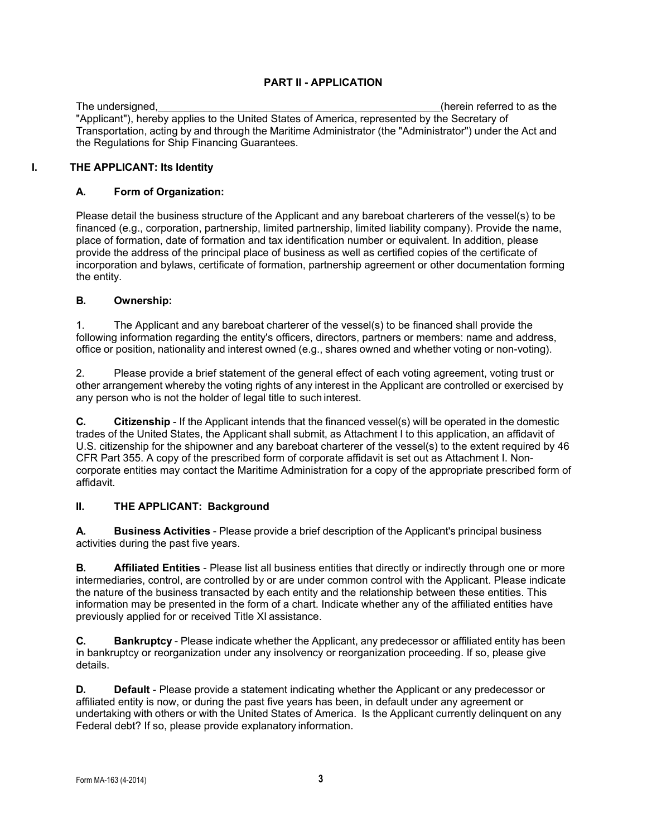# **PART II - APPLICATION**

The undersigned, (herein referred to as the "Applicant"), hereby applies to the United States of America, represented by the Secretary of Transportation, acting by and through the Maritime Administrator (the "Administrator") under the Act and the Regulations for Ship Financing Guarantees.

# **I. THE APPLICANT: Its Identity**

# **A. Form of Organization:**

Please detail the business structure of the Applicant and any bareboat charterers of the vessel(s) to be financed (e.g., corporation, partnership, limited partnership, limited liability company). Provide the name, place of formation, date of formation and tax identification number or equivalent. In addition, please provide the address of the principal place of business as well as certified copies of the certificate of incorporation and bylaws, certificate of formation, partnership agreement or other documentation forming the entity.

# **B. Ownership:**

1. The Applicant and any bareboat charterer of the vessel(s) to be financed shall provide the following information regarding the entity's officers, directors, partners or members: name and address, office or position, nationality and interest owned (e.g., shares owned and whether voting or non-voting).

2. Please provide a brief statement of the general effect of each voting agreement, voting trust or other arrangement whereby the voting rights of any interest in the Applicant are controlled or exercised by any person who is not the holder of legal title to such interest.

**C. Citizenship** - If the Applicant intends that the financed vessel(s) will be operated in the domestic trades of the United States, the Applicant shall submit, as Attachment I to this application, an affidavit of U.S. citizenship for the shipowner and any bareboat charterer of the vessel(s) to the extent required by 46 CFR Part 355. A copy of the prescribed form of corporate affidavit is set out as Attachment I. Noncorporate entities may contact the Maritime Administration for a copy of the appropriate prescribed form of affidavit.

# **II. THE APPLICANT: Background**

**A. Business Activities** - Please provide a brief description of the Applicant's principal business activities during the past five years.

**B. Affiliated Entities** - Please list all business entities that directly or indirectly through one or more intermediaries, control, are controlled by or are under common control with the Applicant. Please indicate the nature of the business transacted by each entity and the relationship between these entities. This information may be presented in the form of a chart. Indicate whether any of the affiliated entities have previously applied for or received Title XI assistance.

**C. Bankruptcy** - Please indicate whether the Applicant, any predecessor or affiliated entity has been in bankruptcy or reorganization under any insolvency or reorganization proceeding. If so, please give details.

**D. Default** - Please provide a statement indicating whether the Applicant or any predecessor or affiliated entity is now, or during the past five years has been, in default under any agreement or undertaking with others or with the United States of America. Is the Applicant currently delinquent on any Federal debt? If so, please provide explanatory information.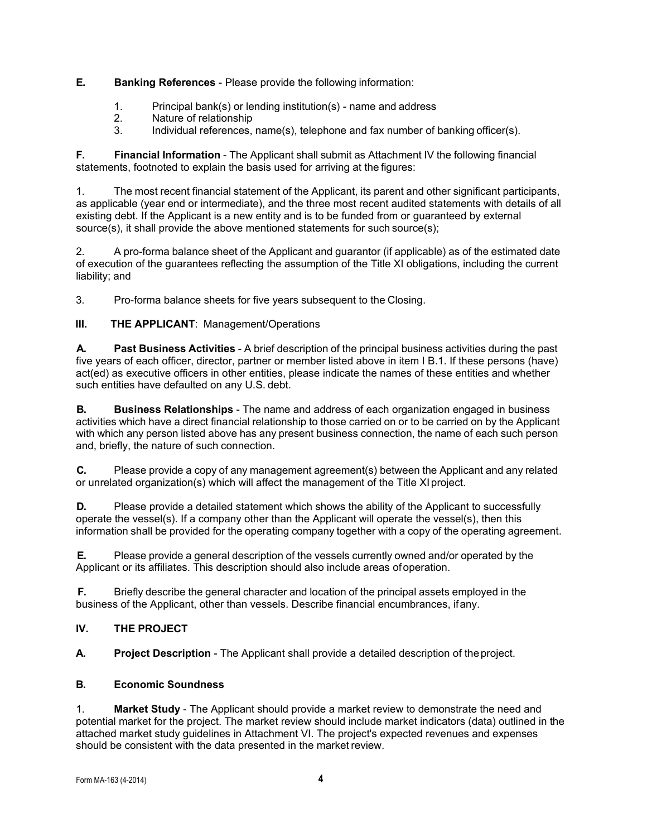# **E. Banking References** - Please provide the following information:

- 1. Principal bank(s) or lending institution(s) name and address
- 2. Nature of relationship<br>3. Individual references
- Individual references, name(s), telephone and fax number of banking officer(s).

**F. Financial Information** - The Applicant shall submit as Attachment IV the following financial statements, footnoted to explain the basis used for arriving at the figures:

1. The most recent financial statement of the Applicant, its parent and other significant participants, as applicable (year end or intermediate), and the three most recent audited statements with details of all existing debt. If the Applicant is a new entity and is to be funded from or guaranteed by external source(s), it shall provide the above mentioned statements for such source(s);

2. A pro-forma balance sheet of the Applicant and guarantor (if applicable) as of the estimated date of execution of the guarantees reflecting the assumption of the Title XI obligations, including the current liability; and

3. Pro-forma balance sheets for five years subsequent to the Closing.

 **III. THE APPLICANT**: Management/Operations

**A. Past Business Activities** - A brief description of the principal business activities during the past five years of each officer, director, partner or member listed above in item I B.1. If these persons (have) act(ed) as executive officers in other entities, please indicate the names of these entities and whether such entities have defaulted on any U.S. debt.

**B. Business Relationships** - The name and address of each organization engaged in business activities which have a direct financial relationship to those carried on or to be carried on by the Applicant with which any person listed above has any present business connection, the name of each such person and, briefly, the nature of such connection.

**C.** Please provide a copy of any management agreement(s) between the Applicant and any related or unrelated organization(s) which will affect the management of the Title XIproject.

**D.** Please provide a detailed statement which shows the ability of the Applicant to successfully operate the vessel(s). If a company other than the Applicant will operate the vessel(s), then this information shall be provided for the operating company together with a copy of the operating agreement.

**E.** Please provide a general description of the vessels currently owned and/or operated by the Applicant or its affiliates. This description should also include areas ofoperation.

**F.** Briefly describe the general character and location of the principal assets employed in the business of the Applicant, other than vessels. Describe financial encumbrances, ifany.

# **IV. THE PROJECT**

**A. Project Description** - The Applicant shall provide a detailed description of theproject.

# **B. Economic Soundness**

1. **Market Study** - The Applicant should provide a market review to demonstrate the need and potential market for the project. The market review should include market indicators (data) outlined in the attached market study guidelines in Attachment VI. The project's expected revenues and expenses should be consistent with the data presented in the market review.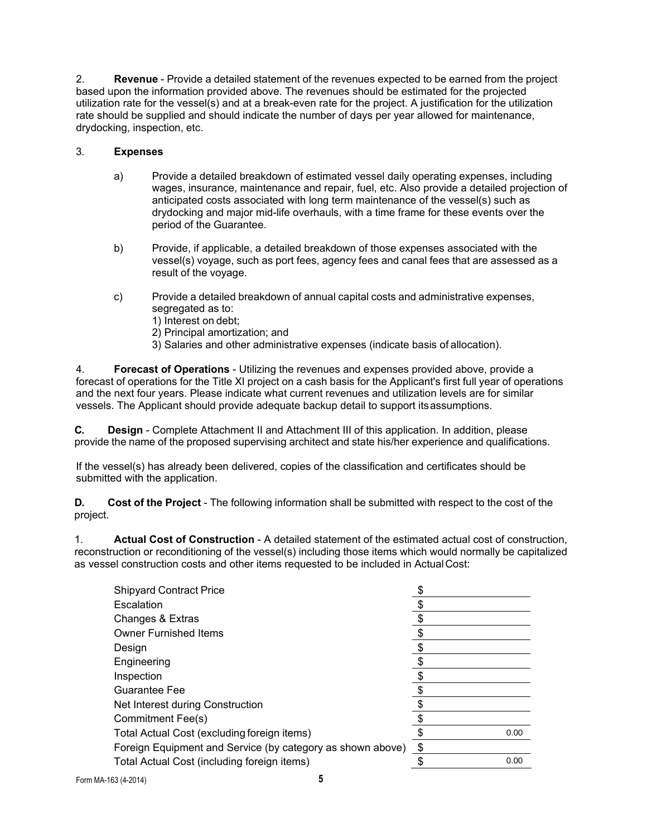2. **Revenue** - Provide a detailed statement of the revenues expected to be earned from the project based upon the information provided above. The revenues should be estimated for the projected utilization rate for the vessel(s) and at a break-even rate for the project. A justification for the utilization rate should be supplied and should indicate the number of days per year allowed for maintenance, drydocking, inspection, etc.

# 3. **Expenses**

- a) Provide a detailed breakdown of estimated vessel daily operating expenses, including wages, insurance, maintenance and repair, fuel, etc. Also provide a detailed projection of anticipated costs associated with long term maintenance of the vessel(s) such as drydocking and major mid-life overhauls, with a time frame for these events over the period of the Guarantee.
- b) Provide, if applicable, a detailed breakdown of those expenses associated with the vessel(s) voyage, such as port fees, agency fees and canal fees that are assessed as a result of the voyage.
- c) Provide a detailed breakdown of annual capital costs and administrative expenses, segregated as to:
	- 1) Interest on debt;
	- 2) Principal amortization; and
	- 3) Salaries and other administrative expenses (indicate basis of allocation).

4. **Forecast of Operations** - Utilizing the revenues and expenses provided above, provide a forecast of operations for the Title XI project on a cash basis for the Applicant's first full year of operations and the next four years. Please indicate what current revenues and utilization levels are for similar vessels. The Applicant should provide adequate backup detail to support itsassumptions.

**C. Design** - Complete Attachment II and Attachment III of this application. In addition, please provide the name of the proposed supervising architect and state his/her experience and qualifications.

If the vessel(s) has already been delivered, copies of the classification and certificates should be submitted with the application.

**D. Cost of the Project** - The following information shall be submitted with respect to the cost of the project.

1. **Actual Cost of Construction** - A detailed statement of the estimated actual cost of construction, reconstruction or reconditioning of the vessel(s) including those items which would normally be capitalized as vessel construction costs and other items requested to be included in ActualCost:

| <b>Shipyard Contract Price</b>                             |      |  |
|------------------------------------------------------------|------|--|
| Escalation                                                 |      |  |
| Changes & Extras                                           |      |  |
| <b>Owner Furnished Items</b>                               |      |  |
| Design                                                     |      |  |
| Engineering                                                |      |  |
| Inspection                                                 |      |  |
| <b>Guarantee Fee</b>                                       |      |  |
| Net Interest during Construction                           |      |  |
| Commitment Fee(s)                                          |      |  |
| Total Actual Cost (excluding foreign items)                | 0.00 |  |
| Foreign Equipment and Service (by category as shown above) | \$   |  |
| Total Actual Cost (including foreign items)                | 0.00 |  |
|                                                            |      |  |

Form MA-163 (4-2014) **5**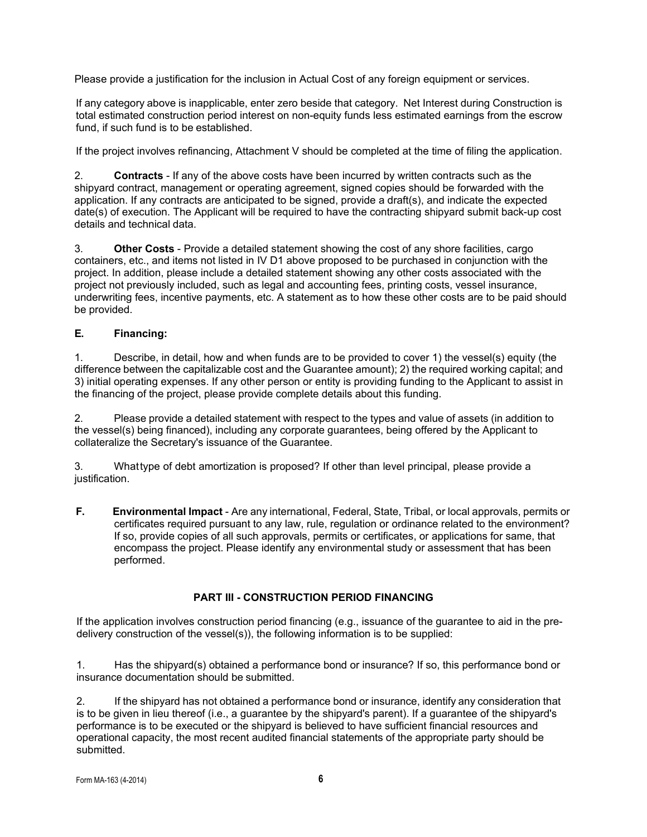Please provide a justification for the inclusion in Actual Cost of any foreign equipment or services.

If any category above is inapplicable, enter zero beside that category. Net Interest during Construction is total estimated construction period interest on non-equity funds less estimated earnings from the escrow fund, if such fund is to be established.

If the project involves refinancing, Attachment V should be completed at the time of filing the application.

2. **Contracts** - If any of the above costs have been incurred by written contracts such as the shipyard contract, management or operating agreement, signed copies should be forwarded with the application. If any contracts are anticipated to be signed, provide a draft(s), and indicate the expected date(s) of execution. The Applicant will be required to have the contracting shipyard submit back-up cost details and technical data.

3. **Other Costs** - Provide a detailed statement showing the cost of any shore facilities, cargo containers, etc., and items not listed in IV D1 above proposed to be purchased in conjunction with the project. In addition, please include a detailed statement showing any other costs associated with the project not previously included, such as legal and accounting fees, printing costs, vessel insurance, underwriting fees, incentive payments, etc. A statement as to how these other costs are to be paid should be provided.

# **E. Financing:**

1. Describe, in detail, how and when funds are to be provided to cover 1) the vessel(s) equity (the difference between the capitalizable cost and the Guarantee amount); 2) the required working capital; and 3) initial operating expenses. If any other person or entity is providing funding to the Applicant to assist in the financing of the project, please provide complete details about this funding.

2. Please provide a detailed statement with respect to the types and value of assets (in addition to the vessel(s) being financed), including any corporate guarantees, being offered by the Applicant to collateralize the Secretary's issuance of the Guarantee.

3. Whattype of debt amortization is proposed? If other than level principal, please provide a justification.

**F. Environmental Impact** - Are any international, Federal, State, Tribal, or local approvals, permits or certificates required pursuant to any law, rule, regulation or ordinance related to the environment? If so, provide copies of all such approvals, permits or certificates, or applications for same, that encompass the project. Please identify any environmental study or assessment that has been performed.

# **PART III - CONSTRUCTION PERIOD FINANCING**

If the application involves construction period financing (e.g., issuance of the guarantee to aid in the predelivery construction of the vessel(s)), the following information is to be supplied:

1. Has the shipyard(s) obtained a performance bond or insurance? If so, this performance bond or insurance documentation should be submitted.

2. If the shipyard has not obtained a performance bond or insurance, identify any consideration that is to be given in lieu thereof (i.e., a guarantee by the shipyard's parent). If a guarantee of the shipyard's performance is to be executed or the shipyard is believed to have sufficient financial resources and operational capacity, the most recent audited financial statements of the appropriate party should be submitted.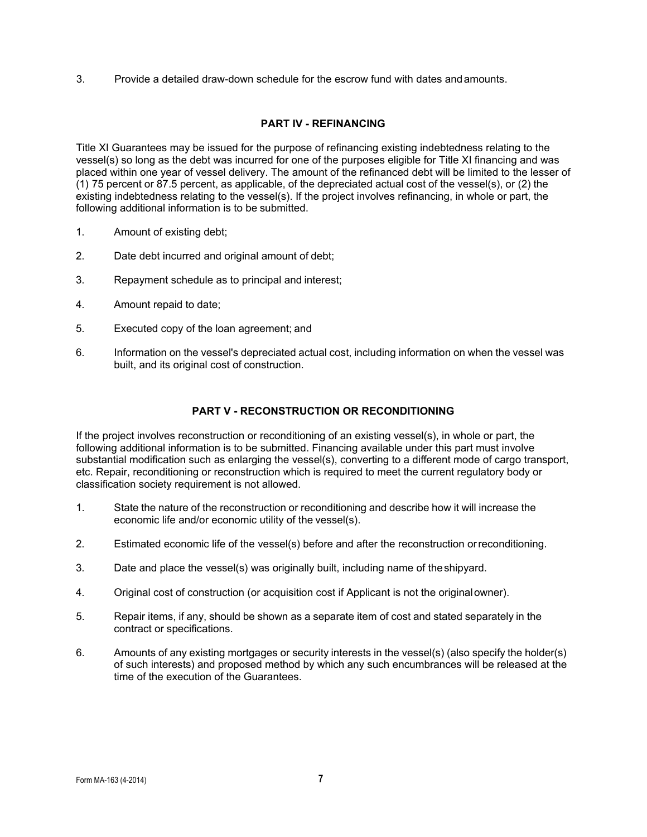3. Provide a detailed draw-down schedule for the escrow fund with dates andamounts.

## **PART IV - REFINANCING**

Title XI Guarantees may be issued for the purpose of refinancing existing indebtedness relating to the vessel(s) so long as the debt was incurred for one of the purposes eligible for Title XI financing and was placed within one year of vessel delivery. The amount of the refinanced debt will be limited to the lesser of (1) 75 percent or 87.5 percent, as applicable, of the depreciated actual cost of the vessel(s), or (2) the existing indebtedness relating to the vessel(s). If the project involves refinancing, in whole or part, the following additional information is to be submitted.

- 1. Amount of existing debt;
- 2. Date debt incurred and original amount of debt;
- 3. Repayment schedule as to principal and interest;
- 4. Amount repaid to date;
- 5. Executed copy of the loan agreement; and
- 6. Information on the vessel's depreciated actual cost, including information on when the vessel was built, and its original cost of construction.

#### **PART V - RECONSTRUCTION OR RECONDITIONING**

If the project involves reconstruction or reconditioning of an existing vessel(s), in whole or part, the following additional information is to be submitted. Financing available under this part must involve substantial modification such as enlarging the vessel(s), converting to a different mode of cargo transport, etc. Repair, reconditioning or reconstruction which is required to meet the current regulatory body or classification society requirement is not allowed.

- 1. State the nature of the reconstruction or reconditioning and describe how it will increase the economic life and/or economic utility of the vessel(s).
- 2. Estimated economic life of the vessel(s) before and after the reconstruction orreconditioning.
- 3. Date and place the vessel(s) was originally built, including name of theshipyard.
- 4. Original cost of construction (or acquisition cost if Applicant is not the originalowner).
- 5. Repair items, if any, should be shown as a separate item of cost and stated separately in the contract or specifications.
- 6. Amounts of any existing mortgages or security interests in the vessel(s) (also specify the holder(s) of such interests) and proposed method by which any such encumbrances will be released at the time of the execution of the Guarantees.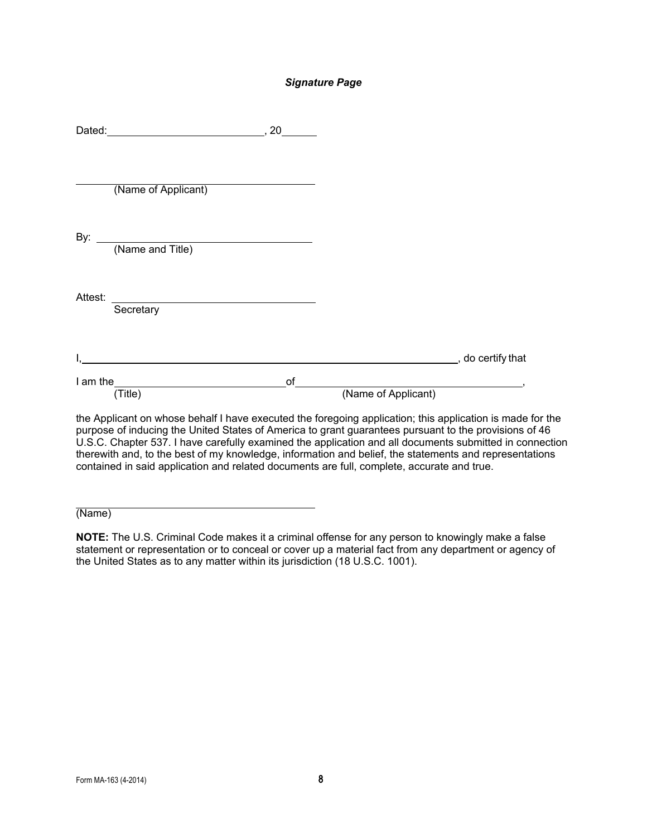#### *Signature Page*

|         | (Name of Applicant)                                                                                                                                                                                                                            |                             |                                                  |  |
|---------|------------------------------------------------------------------------------------------------------------------------------------------------------------------------------------------------------------------------------------------------|-----------------------------|--------------------------------------------------|--|
|         | By: <u>(Name and Title)</u>                                                                                                                                                                                                                    |                             |                                                  |  |
| Attest: | Secretary                                                                                                                                                                                                                                      |                             |                                                  |  |
|         | <u> 1989 - Jan Samuel Barbara, martin da shekarar 1989 - An tsara tsara tsara tsara tsara tsara tsara tsara tsar</u>                                                                                                                           |                             | _______________________________, do certify that |  |
|         | I am the <u>second</u> the second term of the second term of the second term of the second term of the second term of the second term of the second term of the second term of the second term of the second term of the second ter<br>(Title) | of $\overline{\phantom{a}}$ | (Name of Applicant)                              |  |

the Applicant on whose behalf I have executed the foregoing application; this application is made for the purpose of inducing the United States of America to grant guarantees pursuant to the provisions of 46 U.S.C. Chapter 537. I have carefully examined the application and all documents submitted in connection therewith and, to the best of my knowledge, information and belief, the statements and representations contained in said application and related documents are full, complete, accurate and true.

(Name)

**NOTE:** The U.S. Criminal Code makes it a criminal offense for any person to knowingly make a false statement or representation or to conceal or cover up a material fact from any department or agency of the United States as to any matter within its jurisdiction (18 U.S.C. 1001).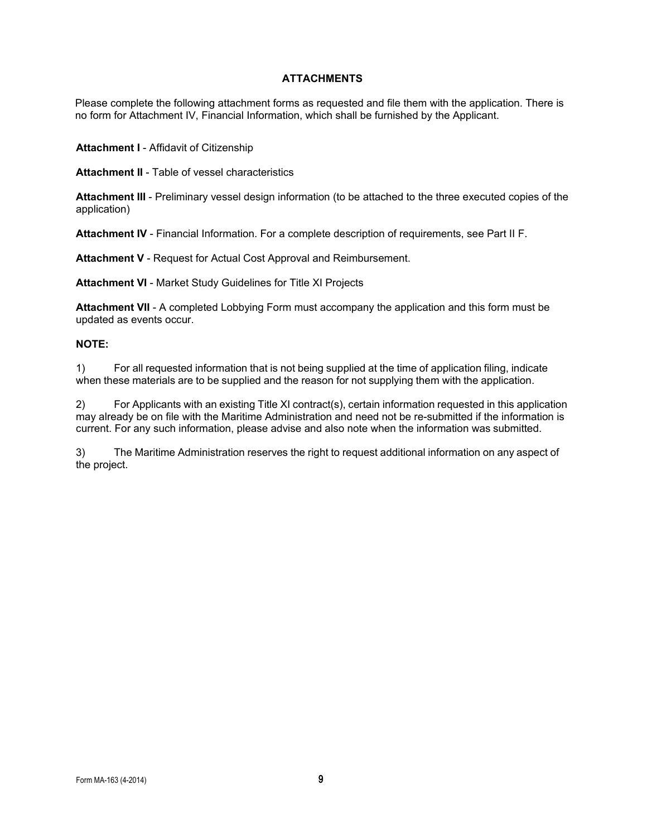## **ATTACHMENTS**

Please complete the following attachment forms as requested and file them with the application. There is no form for Attachment IV, Financial Information, which shall be furnished by the Applicant.

**Attachment I** - Affidavit of Citizenship

**Attachment II** - Table of vessel characteristics

**Attachment III** - Preliminary vessel design information (to be attached to the three executed copies of the application)

**Attachment IV** - Financial Information. For a complete description of requirements, see Part II F.

**Attachment V** - Request for Actual Cost Approval and Reimbursement.

**Attachment VI** - Market Study Guidelines for Title XI Projects

**Attachment VII** - A completed Lobbying Form must accompany the application and this form must be updated as events occur.

#### **NOTE:**

1) For all requested information that is not being supplied at the time of application filing, indicate when these materials are to be supplied and the reason for not supplying them with the application.

2) For Applicants with an existing Title XI contract(s), certain information requested in this application may already be on file with the Maritime Administration and need not be re-submitted if the information is current. For any such information, please advise and also note when the information was submitted.

3) The Maritime Administration reserves the right to request additional information on any aspect of the project.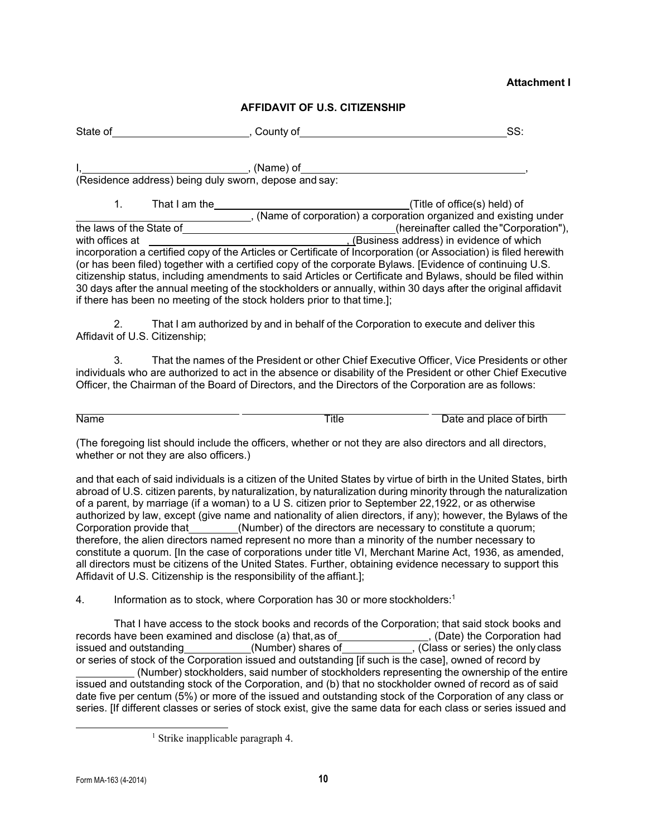#### **Attachment I**

#### **AFFIDAVIT OF U.S. CITIZENSHIP**

| State of | . :ountv of<br>ັ<br>. | ںں |
|----------|-----------------------|----|
|          |                       |    |

I, , (Name) of , (Residence address) being duly sworn, depose and say:

1. That I am the (Title of office(s) held) of , (Name of corporation) a corporation organized and existing under the laws of the State of (hereinafter called the "Corporation"), with offices at (hereinafter called the "Corporation"),  $(Ku)$  (Business address) in evidence of which incorporation a certified copy of the Articles or Certificate of Incorporation (or Association) is filed herewith (or has been filed) together with a certified copy of the corporate Bylaws. [Evidence of continuing U.S. citizenship status, including amendments to said Articles or Certificate and Bylaws, should be filed within 30 days after the annual meeting of the stockholders or annually, within 30 days after the original affidavit if there has been no meeting of the stock holders prior to that time.];

2. That I am authorized by and in behalf of the Corporation to execute and deliver this Affidavit of U.S. Citizenship;

3. That the names of the President or other Chief Executive Officer, Vice Presidents or other individuals who are authorized to act in the absence or disability of the President or other Chief Executive Officer, the Chairman of the Board of Directors, and the Directors of the Corporation are as follows:

Name **Title Title** Date and place of birth

(The foregoing list should include the officers, whether or not they are also directors and all directors, whether or not they are also officers.)

and that each of said individuals is a citizen of the United States by virtue of birth in the United States, birth abroad of U.S. citizen parents, by naturalization, by naturalization during minority through the naturalization of a parent, by marriage (if a woman) to a U S. citizen prior to September 22,1922, or as otherwise authorized by law, except (give name and nationality of alien directors, if any); however, the Bylaws of the Corporation provide that (Number) of the directors are necessary to constitute a quorum; (Number) of the directors are necessary to constitute a quorum; therefore, the alien directors named represent no more than a minority of the number necessary to constitute a quorum. [In the case of corporations under title VI, Merchant Marine Act, 1936, as amended, all directors must be citizens of the United States. Further, obtaining evidence necessary to support this Affidavit of U.S. Citizenship is the responsibility of the affiant.];

4. Information as to stock, where Corporation has 30 or more stockholders:<sup>1</sup>

<span id="page-9-0"></span>That I have access to the stock books and records of the Corporation; that said stock books and records have been examined and disclose (a) that, as of\_\_\_\_\_\_\_\_\_\_\_\_\_\_\_\_\_, (Date) the Corporation had issued and outstanding\_\_\_\_\_\_\_\_\_\_\_\_(Number) shares of \_\_\_\_\_\_\_\_\_\_\_, (Class or series) the only class or series of stock of the Corporation issued and outstanding [if such is the case], owned of record by (Number) stockholders, said number of stockholders representing the ownership of the entire issued and outstanding stock of the Corporation, and (b) that no stockholder owned of record as of said date five per centum (5%) or more of the issued and outstanding stock of the Corporation of any class or series. [If different classes or series of stock exist, give the same data for each class or series issued and

<sup>&</sup>lt;sup>1</sup> Strike inapplicable paragraph 4.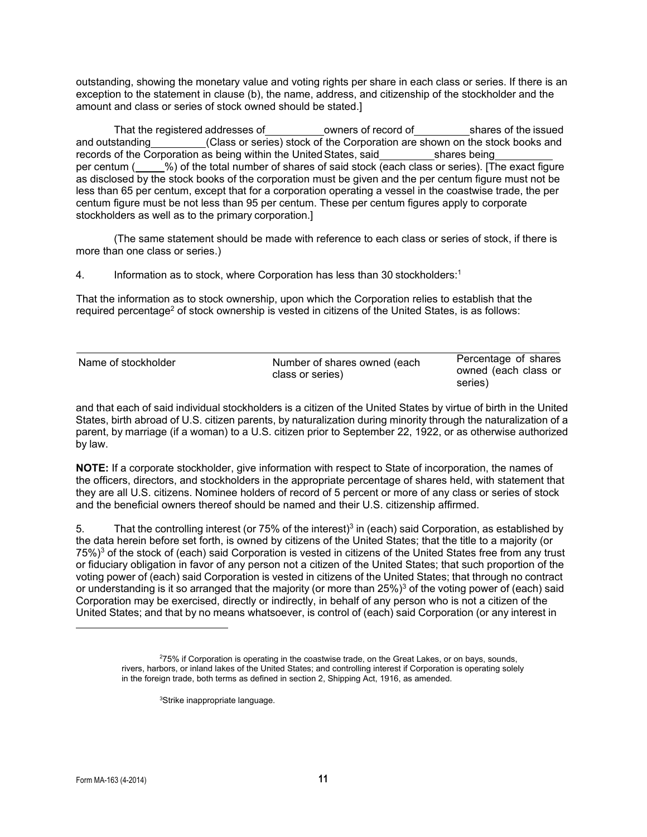<span id="page-10-2"></span>outstanding, showing the monetary value and voting rights per share in each class or series. If there is an exception to the statement in clause (b), the name, address, and citizenship of the stockholder and the amount and class or series of stock owned should be stated.]

That the registered addresses of owners of record of shares of the issued and outstanding (Class or series) stock of the Corporation are shown on the stock books and records of the Corporation as being within the United States, said shares being per centum ( %) of the total number of shares of said stock (each class or series). [The exact figure as disclosed by the stock books of the corporation must be given and the per centum figure must not be less than 65 per centum, except that for a corporation operating a vessel in the coastwise trade, the per centum figure must be not less than 95 per centum. These per centum figures apply to corporate stockholders as well as to the primary corporation.]

(The same statement should be made with reference to each class or series of stock, if there is more than one class or series.)

4. Information as to stock, where Corporation has less than 30 stockholders[:1](#page-10-0)

That the information as to stock ownership, upon which the Corporation relies to establish that the required percentage<sup>2</sup> of stock ownership is vested in citizens of the United States, is as follows:

| Name of stockholder | Number of shares owned (each | Percentage of shares |
|---------------------|------------------------------|----------------------|
|                     | class or series)             | owned (each class or |
|                     |                              | series)              |

and that each of said individual stockholders is a citizen of the United States by virtue of birth in the United States, birth abroad of U.S. citizen parents, by naturalization during minority through the naturalization of a parent, by marriage (if a woman) to a U.S. citizen prior to September 22, 1922, or as otherwise authorized by law.

**NOTE:** If a corporate stockholder, give information with respect to State of incorporation, the names of the officers, directors, and stockholders in the appropriate percentage of shares held, with statement that they are all U.S. citizens. Nominee holders of record of 5 percent or more of any class or series of stock and the beneficial owners thereof should be named and their U.S. citizenship affirmed.

5. That the controlling interest (or 75% of the interest)<sup>3</sup> in (each) said Corporation, as established by the data herein before set forth, is owned by citizens of the United States; that the title to a majority (or 75%)<sup>3</sup> of the stock of (each) said Corporation is vested in citizens of the United States free from any trust or fiduciary obligation in favor of any person not a citizen of the United States; that such proportion of the voting power of (each) said Corporation is vested in citizens of the United States; that through no contract or understanding is it so arranged that the majority (or more than 25%)<sup>3</sup> of the voting power of (each) said Corporation may be exercised, directly or indirectly, in behalf of any person who is not a citizen of the United States; and that by no means whatsoever, is control of (each) said Corporation (or any interest in

<span id="page-10-1"></span><span id="page-10-0"></span><sup>2</sup> 75% if Corporation is operating in the coastwise trade, on the Great Lakes, or on bays, sounds, rivers, harbors, or inland lakes of the United States; and controlling interest if Corporation is operating solely in the foreign trade, both terms as defined in section 2, Shipping Act, 1916, as amended.

<sup>3</sup> Strike inappropriate language.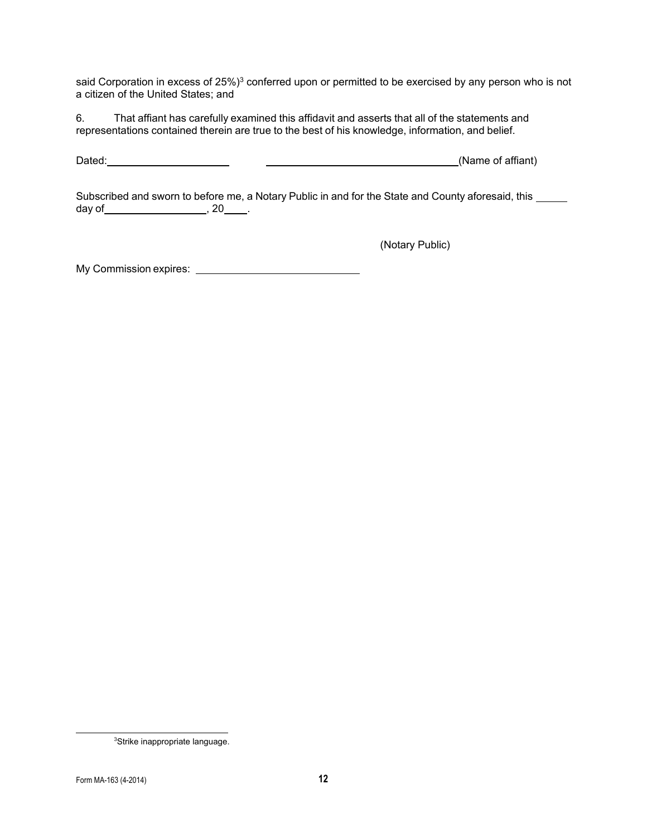said Corporation in excess of 25%)<sup>3</sup> conferred upon or permitted to be exercised by any person who is not a citizen of the United States; and

6. That affiant has carefully examined this affidavit and asserts that all of the statements and representations contained therein are true to the best of his knowledge, information, and belief.

Dated: (Name of affiant)

Subscribed and sworn to before me, a Notary Public in and for the State and County aforesaid, this \_\_\_\_\_ day of  $\frac{1}{20}$ , 20  $\frac{1}{20}$ .

(Notary Public)

My Commission expires:

<span id="page-11-0"></span><sup>3</sup> Strike inappropriate language.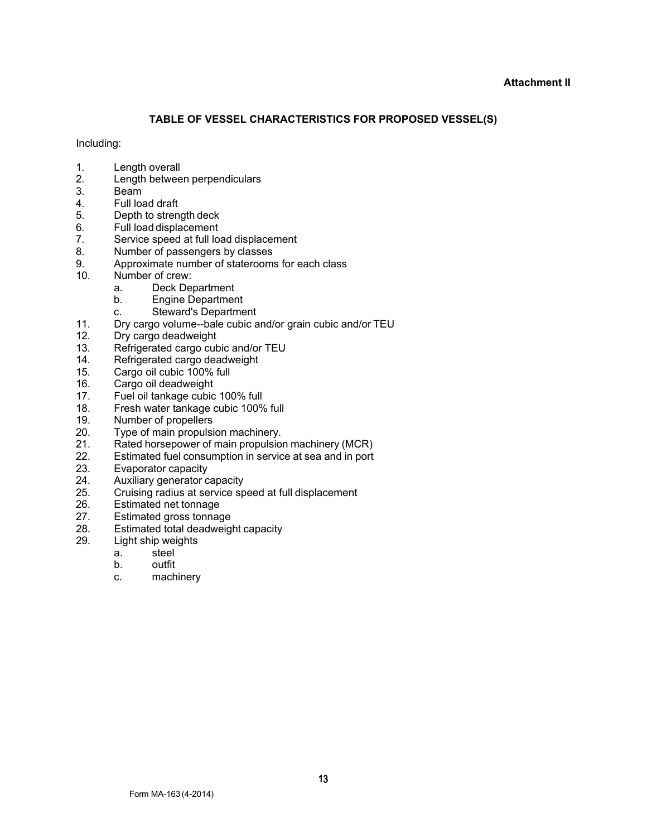#### **Attachment II**

# **TABLE OF VESSEL CHARACTERISTICS FOR PROPOSED VESSEL(S)**

#### Including:

- 1. Length overall
- 2. Length between perpendiculars<br>3. Beam
- 3. Beam<br>4. Full loa
- 4. Full load draft<br>5. Depth to stren
- 5. Depth to strength deck<br>6. Full load displacement
- 6. Full load displacement<br>7. Service speed at full lo
- 7. Service speed at full load displacement<br>8. Number of passengers by classes
- 8. Number of passengers by classes<br>9. Approximate number of staterooms
- 9. Approximate number of staterooms for each class<br>10. Number of crew:
- Number of crew:
	- a. Deck Department
	- b. Engine Department
	- c. Steward's Department
- 11. Dry cargo volume--bale cubic and/or grain cubic and/or TEU
- Dry cargo deadweight
- 13. Refrigerated cargo cubic and/or TEU
- 14. Refrigerated cargo deadweight<br>15. Cargo oil cubic 100% full
- 15. Cargo oil cubic 100% full<br>16. Cargo oil deadweight
- 16. Cargo oil deadweight<br>17. Fuel oil tankage cubic
- 17. Fuel oil tankage cubic 100% full<br>18. Fresh water tankage cubic 100%
- 18. Fresh water tankage cubic 100% full<br>19. Number of propellers
- 19. Number of propellers<br>20. Type of main propulsi
- 20. Type of main propulsion machinery.<br>21 Rated horsepower of main propulsion
- 21. Rated horsepower of main propulsion machinery (MCR)<br>22. Estimated fuel consumption in service at sea and in port
- Estimated fuel consumption in service at sea and in port
- 23. Evaporator capacity
- 24. Auxiliary generator capacity<br>25. Cruising radius at service sp
- 25. Cruising radius at service speed at full displacement
- 26. Estimated net tonnage<br>27. Estimated gross tonnage
- 27. Estimated gross tonnage<br>28. Estimated total deadweig
- 28. Estimated total deadweight capacity<br>29. Light ship weights
	- Light ship weights<br>a. steel
		- a. steel<br>b. outfit
		- outfit
		- c. machinery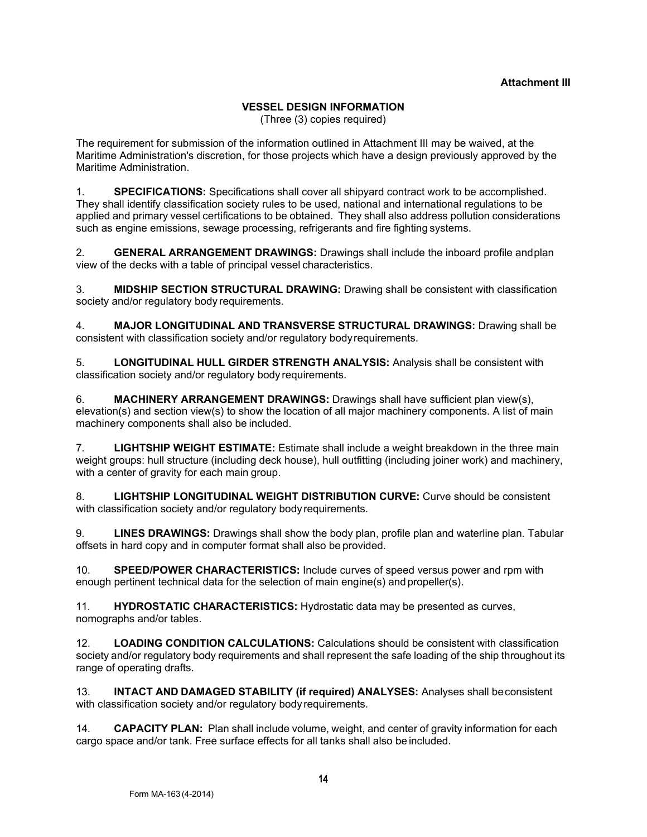# **VESSEL DESIGN INFORMATION**

(Three (3) copies required)

The requirement for submission of the information outlined in Attachment III may be waived, at the Maritime Administration's discretion, for those projects which have a design previously approved by the Maritime Administration.

1. **SPECIFICATIONS:** Specifications shall cover all shipyard contract work to be accomplished. They shall identify classification society rules to be used, national and international regulations to be applied and primary vessel certifications to be obtained. They shall also address pollution considerations such as engine emissions, sewage processing, refrigerants and fire fighting systems.

2. **GENERAL ARRANGEMENT DRAWINGS:** Drawings shall include the inboard profile andplan view of the decks with a table of principal vessel characteristics.

3. **MIDSHIP SECTION STRUCTURAL DRAWING:** Drawing shall be consistent with classification society and/or regulatory body requirements.

4. **MAJOR LONGITUDINAL AND TRANSVERSE STRUCTURAL DRAWINGS:** Drawing shall be consistent with classification society and/or regulatory bodyrequirements.

5. **LONGITUDINAL HULL GIRDER STRENGTH ANALYSIS:** Analysis shall be consistent with classification society and/or regulatory body requirements.

6. **MACHINERY ARRANGEMENT DRAWINGS:** Drawings shall have sufficient plan view(s), elevation(s) and section view(s) to show the location of all major machinery components. A list of main machinery components shall also be included.

7. **LIGHTSHIP WEIGHT ESTIMATE:** Estimate shall include a weight breakdown in the three main weight groups: hull structure (including deck house), hull outfitting (including joiner work) and machinery, with a center of gravity for each main group.

8. **LIGHTSHIP LONGITUDINAL WEIGHT DISTRIBUTION CURVE:** Curve should be consistent with classification society and/or regulatory body requirements.

9. **LINES DRAWINGS:** Drawings shall show the body plan, profile plan and waterline plan. Tabular offsets in hard copy and in computer format shall also be provided.

10. **SPEED/POWER CHARACTERISTICS:** Include curves of speed versus power and rpm with enough pertinent technical data for the selection of main engine(s) andpropeller(s).

11. **HYDROSTATIC CHARACTERISTICS:** Hydrostatic data may be presented as curves, nomographs and/or tables.

12. **LOADING CONDITION CALCULATIONS:** Calculations should be consistent with classification society and/or regulatory body requirements and shall represent the safe loading of the ship throughout its range of operating drafts.

13. **INTACT AND DAMAGED STABILITY (if required) ANALYSES:** Analyses shall beconsistent with classification society and/or regulatory body requirements.

14. **CAPACITY PLAN:** Plan shall include volume, weight, and center of gravity information for each cargo space and/or tank. Free surface effects for all tanks shall also be included.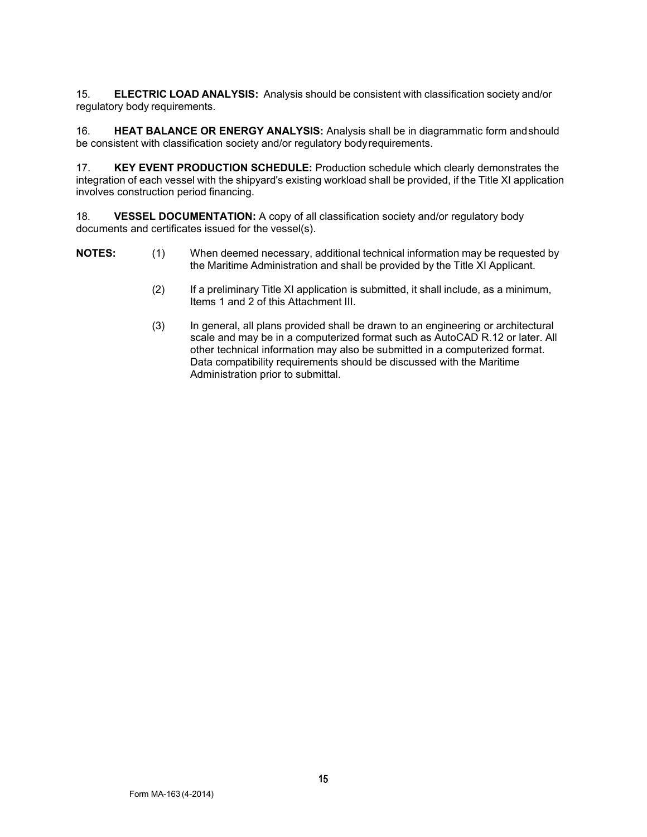15. **ELECTRIC LOAD ANALYSIS:** Analysis should be consistent with classification society and/or regulatory body requirements.

16. **HEAT BALANCE OR ENERGY ANALYSIS:** Analysis shall be in diagrammatic form andshould be consistent with classification society and/or regulatory bodyrequirements.

17. **KEY EVENT PRODUCTION SCHEDULE:** Production schedule which clearly demonstrates the integration of each vessel with the shipyard's existing workload shall be provided, if the Title XI application involves construction period financing.

18. **VESSEL DOCUMENTATION:** A copy of all classification society and/or regulatory body documents and certificates issued for the vessel(s).

- **NOTES:** (1) When deemed necessary, additional technical information may be requested by the Maritime Administration and shall be provided by the Title XI Applicant.
	- (2) If a preliminary Title XI application is submitted, it shall include, as a minimum, Items 1 and 2 of this Attachment III.
	- (3) In general, all plans provided shall be drawn to an engineering or architectural scale and may be in a computerized format such as AutoCAD R.12 or later. All other technical information may also be submitted in a computerized format. Data compatibility requirements should be discussed with the Maritime Administration prior to submittal.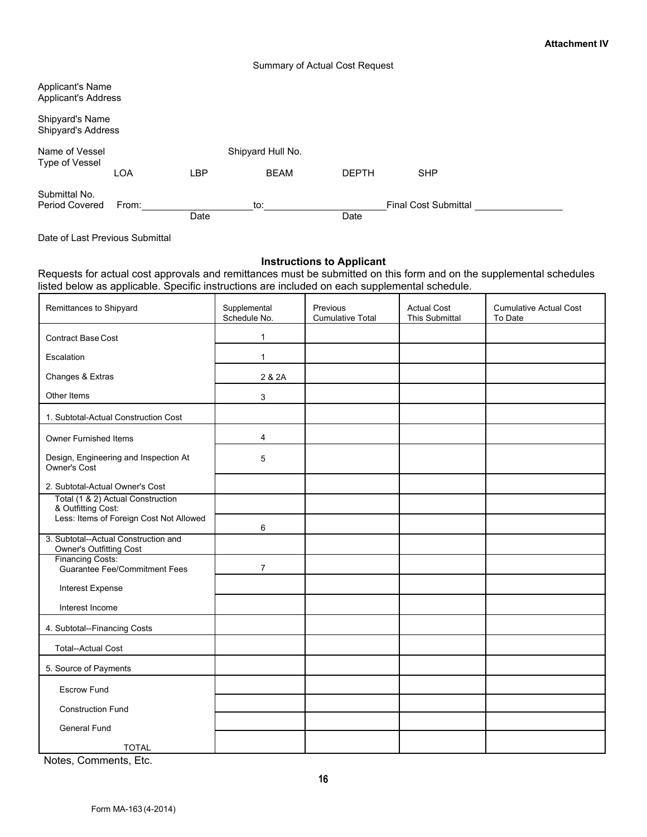#### Summary of Actual Cost Request

| <b>Applicant's Name</b><br><b>Applicant's Address</b> |       |      |                   |              |                             |  |
|-------------------------------------------------------|-------|------|-------------------|--------------|-----------------------------|--|
| Shipyard's Name<br>Shipyard's Address                 |       |      |                   |              |                             |  |
| Name of Vessel<br>Type of Vessel                      |       |      | Shipyard Hull No. |              |                             |  |
|                                                       | LOA   | LBP  | <b>BEAM</b>       | <b>DEPTH</b> | <b>SHP</b>                  |  |
| Submittal No.<br>Period Covered                       | From: |      | to:               |              | <b>Final Cost Submittal</b> |  |
|                                                       |       | Date |                   | Date         |                             |  |

Date of Last Previous Submittal

### **Instructions to Applicant**

Requests for actual cost approvals and remittances must be submitted on this form and on the supplemental schedules listed below as applicable. Specific instructions are included on each supplemental schedule.

| Remittances to Shipyard                                                | Supplemental<br>Schedule No. | Previous<br><b>Cumulative Total</b> | <b>Actual Cost</b><br>This Submittal | <b>Cumulative Actual Cost</b><br>To Date |
|------------------------------------------------------------------------|------------------------------|-------------------------------------|--------------------------------------|------------------------------------------|
| <b>Contract Base Cost</b>                                              | $\mathbf{1}$                 |                                     |                                      |                                          |
| Escalation                                                             | 1                            |                                     |                                      |                                          |
| Changes & Extras                                                       | 2 & 2A                       |                                     |                                      |                                          |
| Other Items                                                            | 3                            |                                     |                                      |                                          |
| 1. Subtotal-Actual Construction Cost                                   |                              |                                     |                                      |                                          |
| <b>Owner Furnished Items</b>                                           | 4                            |                                     |                                      |                                          |
| Design, Engineering and Inspection At<br>Owner's Cost                  | 5                            |                                     |                                      |                                          |
| 2. Subtotal-Actual Owner's Cost                                        |                              |                                     |                                      |                                          |
| Total (1 & 2) Actual Construction<br>& Outfitting Cost:                |                              |                                     |                                      |                                          |
| Less: Items of Foreign Cost Not Allowed                                | 6                            |                                     |                                      |                                          |
| 3. Subtotal--Actual Construction and<br><b>Owner's Outfitting Cost</b> |                              |                                     |                                      |                                          |
| <b>Financing Costs:</b><br><b>Guarantee Fee/Commitment Fees</b>        | $\overline{7}$               |                                     |                                      |                                          |
| Interest Expense                                                       |                              |                                     |                                      |                                          |
| Interest Income                                                        |                              |                                     |                                      |                                          |
| 4. Subtotal--Financing Costs                                           |                              |                                     |                                      |                                          |
| <b>Total--Actual Cost</b>                                              |                              |                                     |                                      |                                          |
| 5. Source of Payments                                                  |                              |                                     |                                      |                                          |
| <b>Escrow Fund</b>                                                     |                              |                                     |                                      |                                          |
| <b>Construction Fund</b>                                               |                              |                                     |                                      |                                          |
| <b>General Fund</b>                                                    |                              |                                     |                                      |                                          |
| <b>TOTAL</b>                                                           |                              |                                     |                                      |                                          |

Notes, Comments, Etc.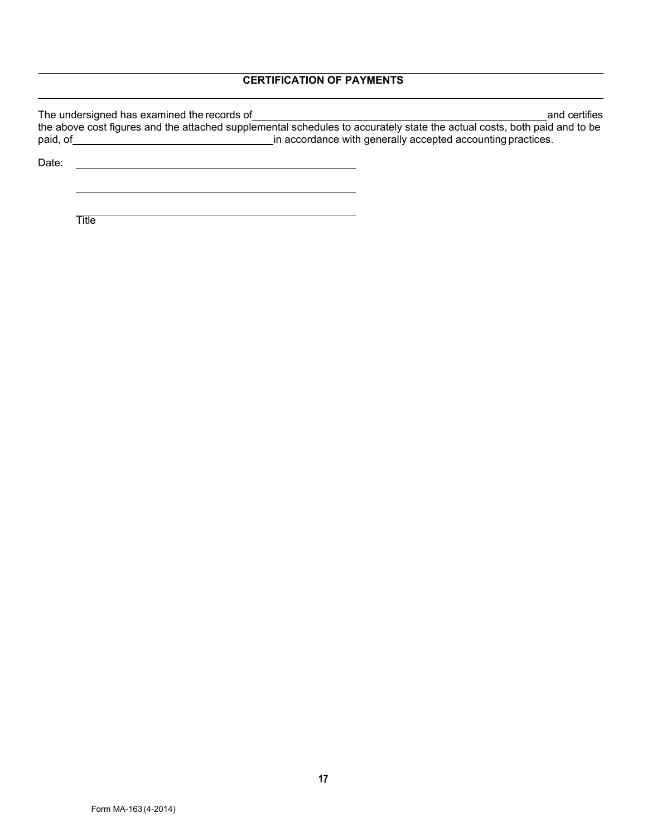# **CERTIFICATION OF PAYMENTS**

| The undersigned has examined the records of | and certifies                                                                                                            |
|---------------------------------------------|--------------------------------------------------------------------------------------------------------------------------|
|                                             | the above cost figures and the attached supplemental schedules to accurately state the actual costs, both paid and to be |
| paid, of                                    | in accordance with generally accepted accounting practices.                                                              |
|                                             |                                                                                                                          |

Date: <u>example</u>: and the set of the set of the set of the set of the set of the set of the set of the set of the set of the set of the set of the set of the set of the set of the set of the set of the set of the set of the

**Title**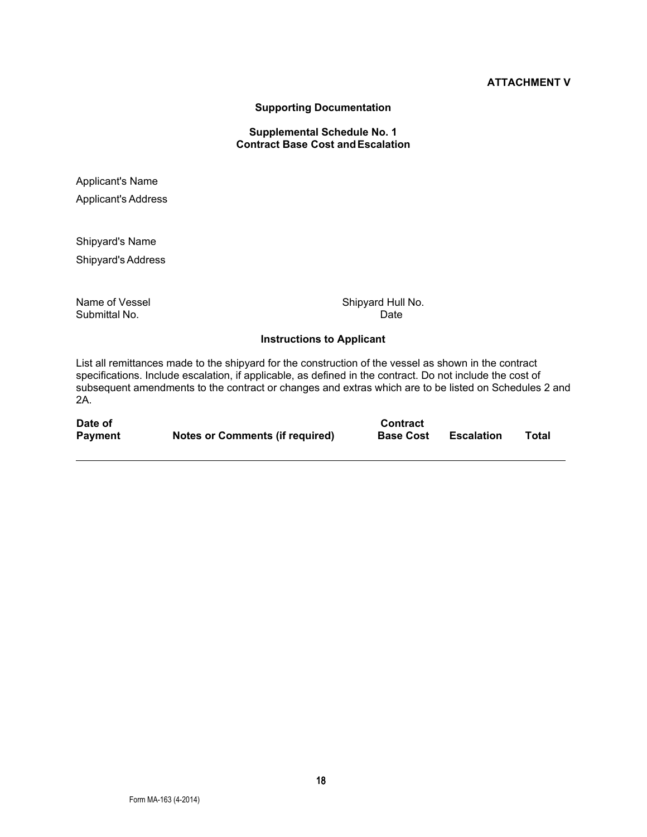**Supporting Documentation**

## **Supplemental Schedule No. 1 Contract Base Cost andEscalation**

Applicant's Name Applicant's Address

Shipyard's Name Shipyard's Address

Submittal No.

Name of Vessel Shipyard Hull No.<br>Submittal No. Submittal No.

### **Instructions to Applicant**

List all remittances made to the shipyard for the construction of the vessel as shown in the contract specifications. Include escalation, if applicable, as defined in the contract. Do not include the cost of subsequent amendments to the contract or changes and extras which are to be listed on Schedules 2 and 2A.

| Date of        |                                        | <b>Contract</b>  |                   |       |
|----------------|----------------------------------------|------------------|-------------------|-------|
| <b>Payment</b> | <b>Notes or Comments (if required)</b> | <b>Base Cost</b> | <b>Escalation</b> | Total |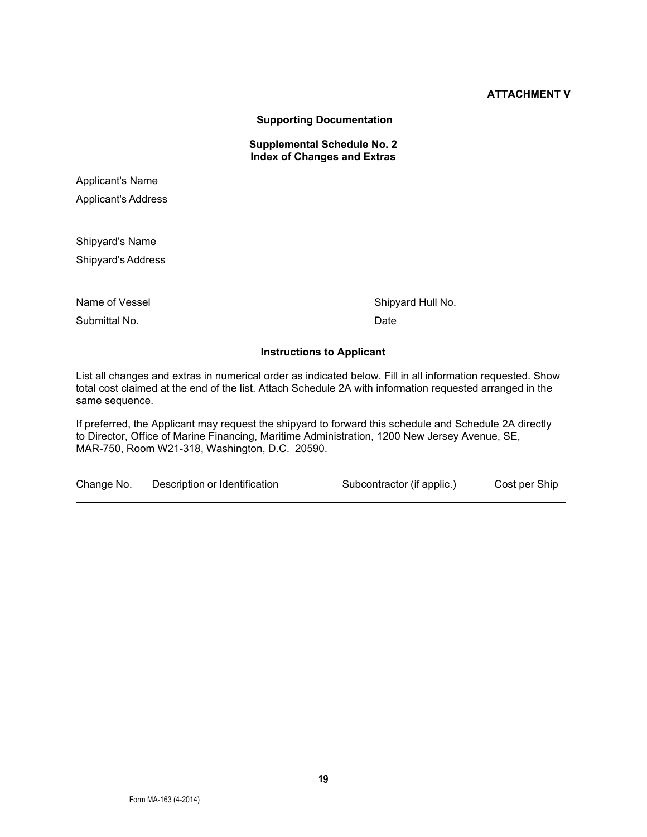**Supporting Documentation**

**Supplemental Schedule No. 2 Index of Changes and Extras**

Applicant's Name Applicant's Address

Shipyard's Name Shipyard's Address

Submittal No. 2008 and 2009 and 2009 and 2009 and 2009 and 2009 and 2009 and 2009 and 2009 and 2009 and 2009 and 2009 and 2009 and 2009 and 2009 and 2009 and 2009 and 2009 and 2009 and 2009 and 2009 and 2009 and 2009 and 2

Name of Vessel Shipyard Hull No.

# **Instructions to Applicant**

List all changes and extras in numerical order as indicated below. Fill in all information requested. Show total cost claimed at the end of the list. Attach Schedule 2A with information requested arranged in the same sequence.

If preferred, the Applicant may request the shipyard to forward this schedule and Schedule 2A directly to Director, Office of Marine Financing, Maritime Administration, 1200 New Jersey Avenue, SE, MAR-750, Room W21-318, Washington, D.C. 20590.

Change No. Description or Identification Subcontractor (if applic.) Cost per Ship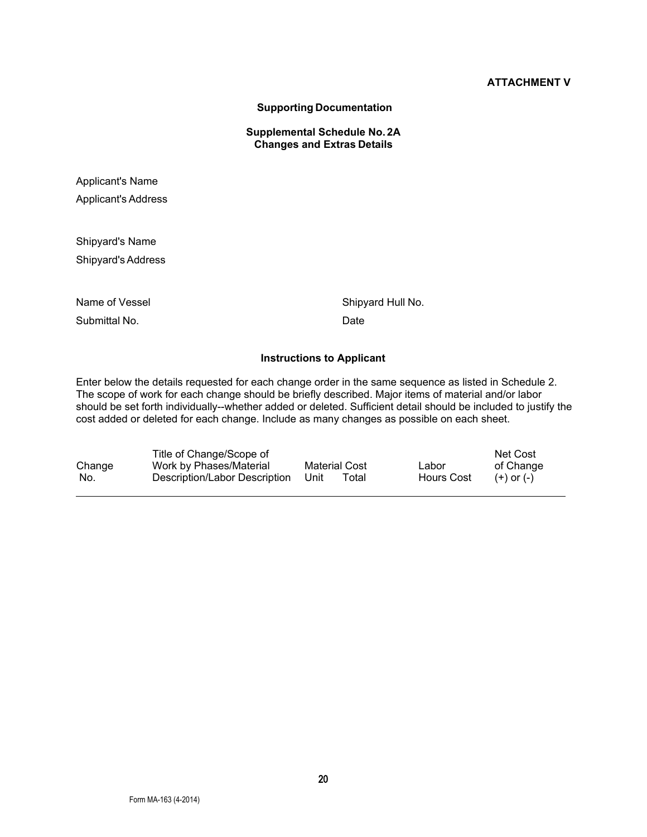**Supporting Documentation** 

**Supplemental Schedule No. 2A Changes and Extras Details**

Applicant's Name Applicant's Address

Shipyard's Name Shipyard's Address

Submittal No. 2008 and 2009 and 2009 and 2009 and 2009 and 2009 and 2009 and 2009 and 2009 and 2009 and 2009 and 2009 and 2009 and 2009 and 2009 and 2009 and 2009 and 2009 and 2009 and 2009 and 2009 and 2009 and 2009 and 2

Name of Vessel Shipyard Hull No.

#### **Instructions to Applicant**

Enter below the details requested for each change order in the same sequence as listed in Schedule 2. The scope of work for each change should be briefly described. Major items of material and/or labor should be set forth individually--whether added or deleted. Sufficient detail should be included to justify the cost added or deleted for each change. Include as many changes as possible on each sheet.

|        | Title of Change/Scope of      |               |       |            | Net Cost       |
|--------|-------------------------------|---------------|-------|------------|----------------|
| Change | Work by Phases/Material       | Material Cost |       | Labor      | of Change      |
| - No.  | Description/Labor Description | -Unit         | ™otal | Hours Cost | $(+)$ or $(-)$ |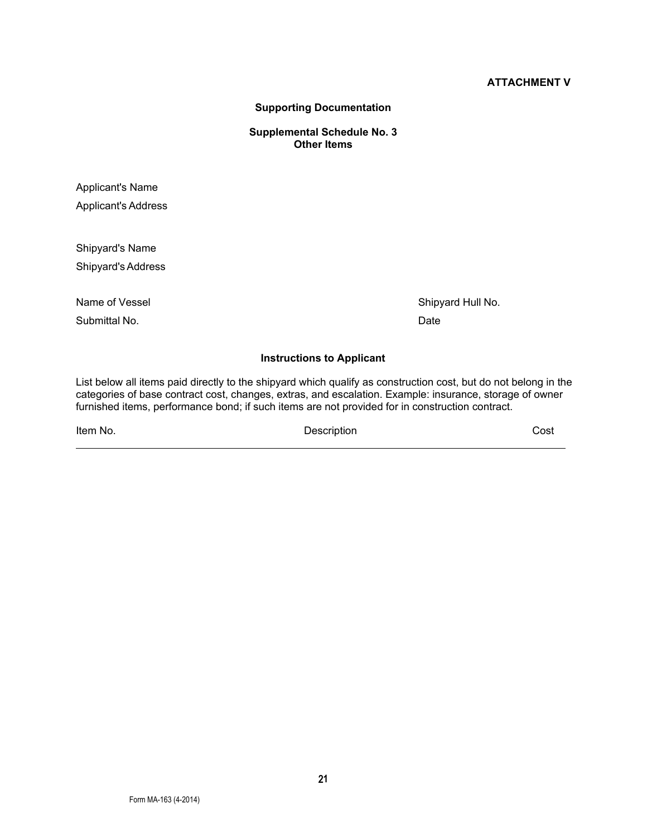**Supporting Documentation**

**Supplemental Schedule No. 3 Other Items**

Applicant's Name Applicant's Address

Shipyard's Name Shipyard's Address

Submittal No. Date

Name of Vessel Shipyard Hull No.

#### **Instructions to Applicant**

List below all items paid directly to the shipyard which qualify as construction cost, but do not belong in the categories of base contract cost, changes, extras, and escalation. Example: insurance, storage of owner furnished items, performance bond; if such items are not provided for in construction contract.

Item No. Description Cost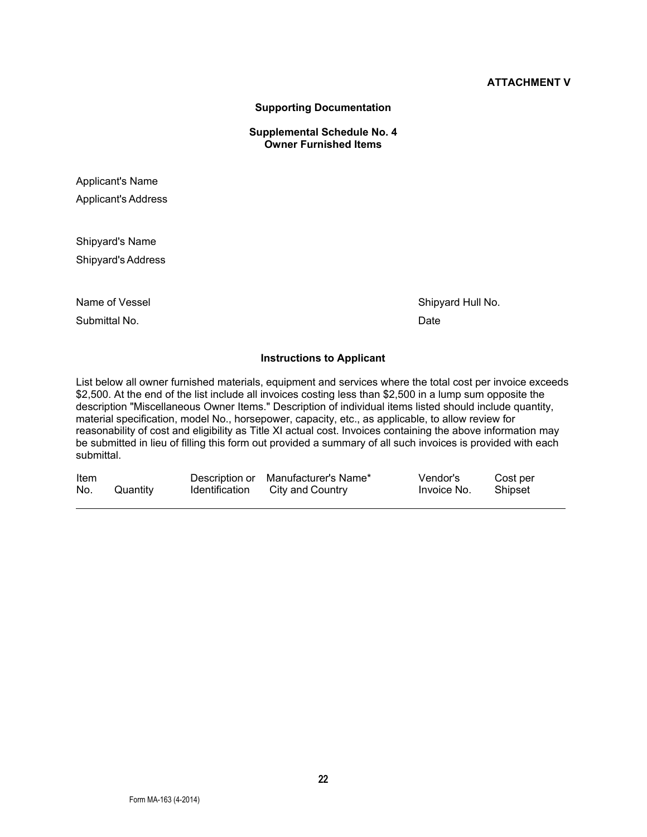**Supporting Documentation**

**Supplemental Schedule No. 4 Owner Furnished Items**

Applicant's Name Applicant's Address

Shipyard's Name Shipyard's Address

Submittal No. Date

Name of Vessel Shipyard Hull No.

#### **Instructions to Applicant**

List below all owner furnished materials, equipment and services where the total cost per invoice exceeds \$2,500. At the end of the list include all invoices costing less than \$2,500 in a lump sum opposite the description "Miscellaneous Owner Items." Description of individual items listed should include quantity, material specification, model No., horsepower, capacity, etc., as applicable, to allow review for reasonability of cost and eligibility as Title XI actual cost. Invoices containing the above information may be submitted in lieu of filling this form out provided a summary of all such invoices is provided with each submittal.

| Item |          | Description or Manufacturer's Name* | Vendor's    | Cost per |
|------|----------|-------------------------------------|-------------|----------|
| No.  | Quantity | Identification City and Country     | Invoice No. | Shipset  |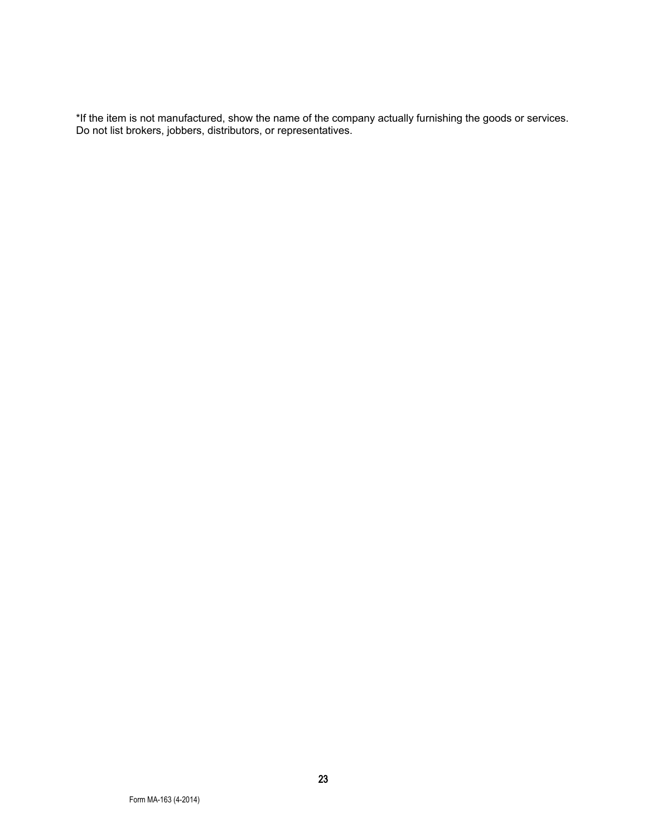\*If the item is not manufactured, show the name of the company actually furnishing the goods or services. Do not list brokers, jobbers, distributors, or representatives.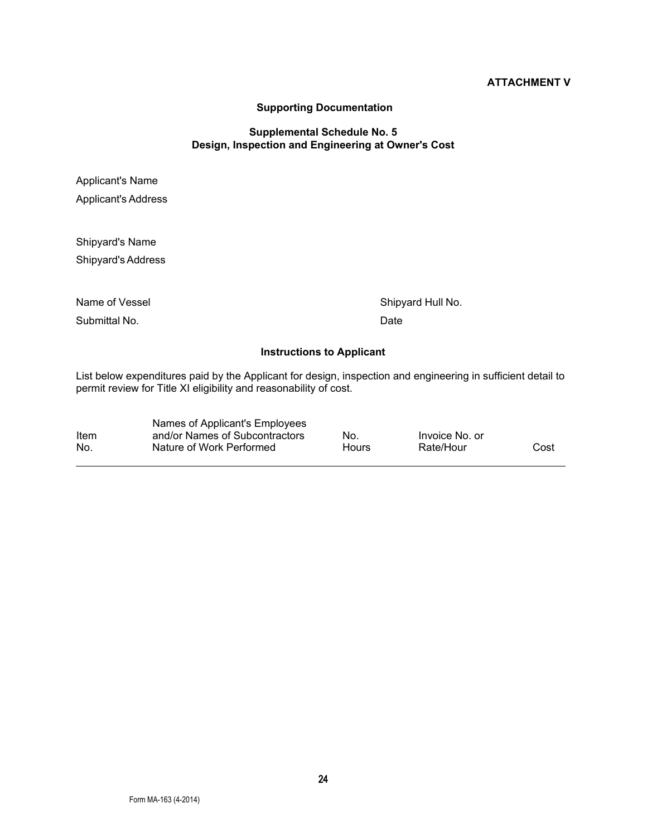#### **Supporting Documentation**

### **Supplemental Schedule No. 5 Design, Inspection and Engineering at Owner's Cost**

Applicant's Name Applicant's Address

Shipyard's Name Shipyard's Address

Name of Vessel Shipyard Hull No.

Submittal No. Date

### **Instructions to Applicant**

List below expenditures paid by the Applicant for design, inspection and engineering in sufficient detail to permit review for Title XI eligibility and reasonability of cost.

|      | Names of Applicant's Employees |       |                |      |
|------|--------------------------------|-------|----------------|------|
| Item | and/or Names of Subcontractors | No.   | Invoice No. or |      |
| No   | Nature of Work Performed       | Hours | Rate/Hour      | Cost |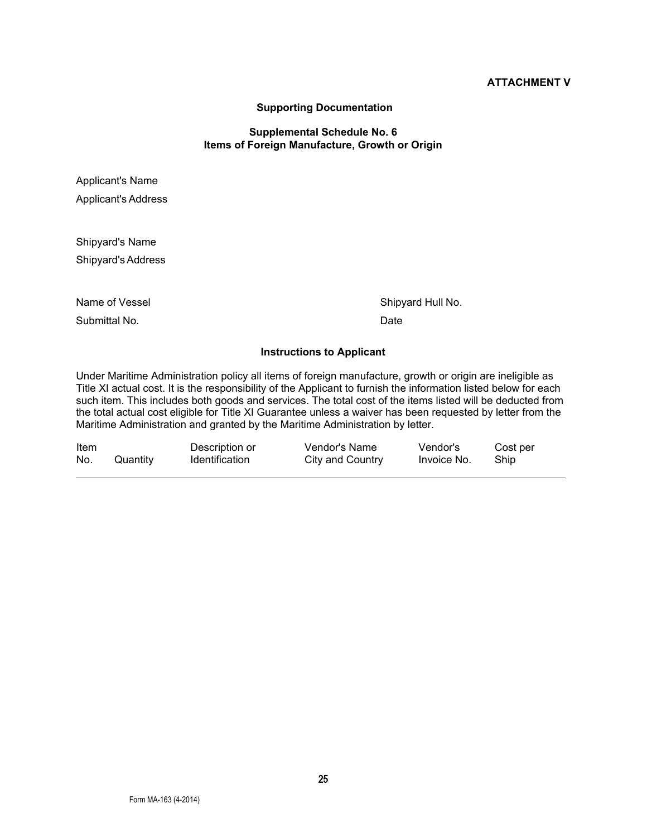#### **Supporting Documentation**

#### **Supplemental Schedule No. 6 Items of Foreign Manufacture, Growth or Origin**

Applicant's Name Applicant's Address

Shipyard's Name Shipyard's Address

Submittal No. 2008 and 2009 and 2009 and 2009 and 2009 and 2009 and 2009 and 2009 and 2009 and 2009 and 2009 and 2009 and 2009 and 2009 and 2009 and 2009 and 2009 and 2009 and 2009 and 2009 and 2009 and 2009 and 2009 and 2

Name of Vessel Shipyard Hull No.

### **Instructions to Applicant**

Under Maritime Administration policy all items of foreign manufacture, growth or origin are ineligible as Title XI actual cost. It is the responsibility of the Applicant to furnish the information listed below for each such item. This includes both goods and services. The total cost of the items listed will be deducted from the total actual cost eligible for Title XI Guarantee unless a waiver has been requested by letter from the Maritime Administration and granted by the Maritime Administration by letter.

| Item |          | Description or        | Vendor's Name    | Vendor's    | Cost per |
|------|----------|-----------------------|------------------|-------------|----------|
| No.  | Quantity | <b>Identification</b> | City and Country | Invoice No. | Ship     |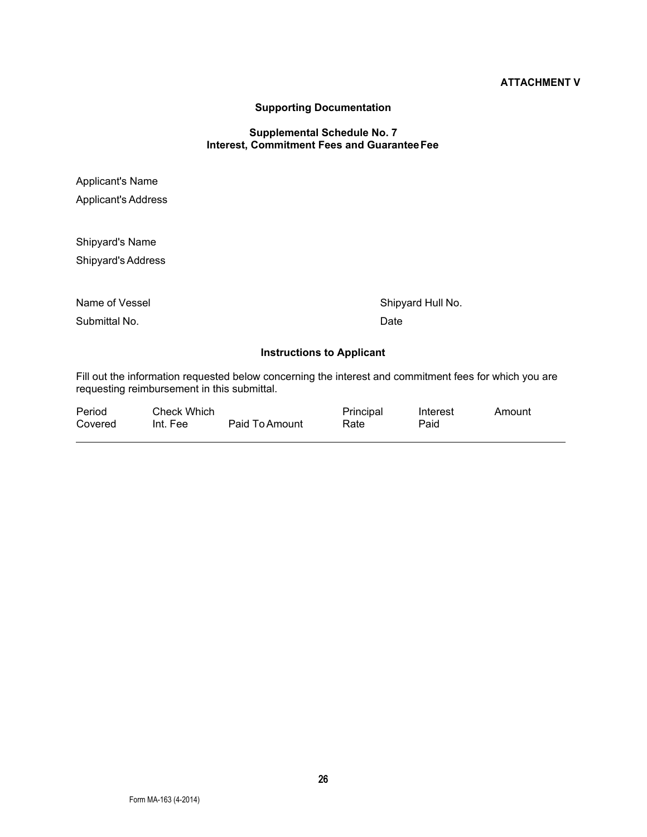# **Supporting Documentation**

#### **Supplemental Schedule No. 7 Interest, Commitment Fees and Guarantee Fee**

| <b>Applicant's Name</b><br><b>Applicant's Address</b> |                                  |  |  |
|-------------------------------------------------------|----------------------------------|--|--|
| Shipyard's Name<br>Shipyard's Address                 |                                  |  |  |
| Name of Vessel<br>Submittal No.                       | Shipyard Hull No.<br>Date        |  |  |
|                                                       | <b>Instructions to Applicant</b> |  |  |

Fill out the information requested below concerning the interest and commitment fees for which you are requesting reimbursement in this submittal.

| Period  | Check Which |                | Principal | Interest | Amount |
|---------|-------------|----------------|-----------|----------|--------|
| Covered | Int. Fee    | Paid To Amount | Rate      | Paid     |        |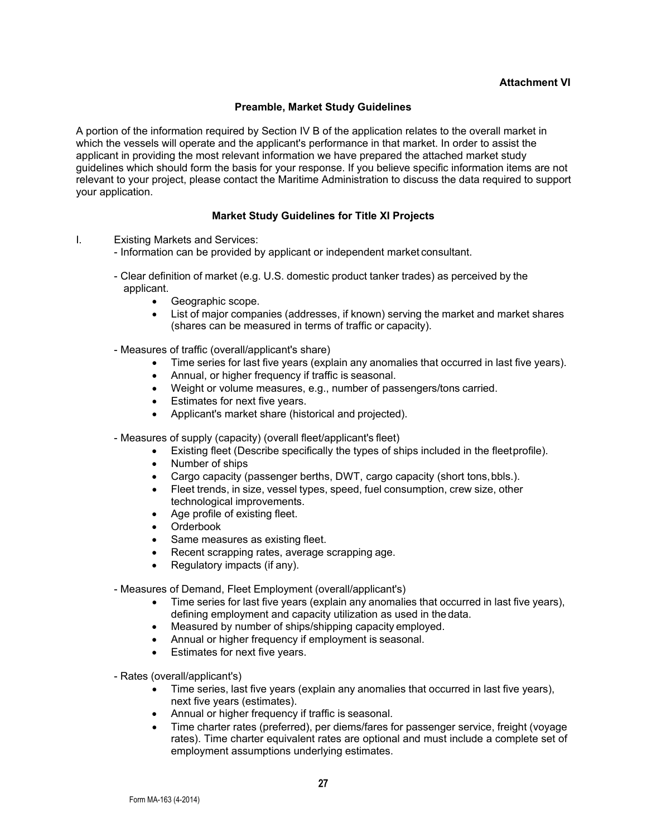#### **Attachment VI**

### **Preamble, Market Study Guidelines**

A portion of the information required by Section IV B of the application relates to the overall market in which the vessels will operate and the applicant's performance in that market. In order to assist the applicant in providing the most relevant information we have prepared the attached market study guidelines which should form the basis for your response. If you believe specific information items are not relevant to your project, please contact the Maritime Administration to discuss the data required to support your application.

### **Market Study Guidelines for Title XI Projects**

- I. Existing Markets and Services:
	- Information can be provided by applicant or independent market consultant.
	- Clear definition of market (e.g. U.S. domestic product tanker trades) as perceived by the applicant.
		- Geographic scope.
		- List of major companies (addresses, if known) serving the market and market shares (shares can be measured in terms of traffic or capacity).
	- Measures of traffic (overall/applicant's share)
		- Time series for last five years (explain any anomalies that occurred in last five years).
		- Annual, or higher frequency if traffic is seasonal.
		- Weight or volume measures, e.g., number of passengers/tons carried.
		- Estimates for next five years.
		- Applicant's market share (historical and projected).
	- Measures of supply (capacity) (overall fleet/applicant's fleet)
		- Existing fleet (Describe specifically the types of ships included in the fleetprofile).
		- Number of ships
		- Cargo capacity (passenger berths, DWT, cargo capacity (short tons, bbls.).
		- Fleet trends, in size, vessel types, speed, fuel consumption, crew size, other technological improvements.
		- Age profile of existing fleet.
		- Orderbook
		- Same measures as existing fleet.
		- Recent scrapping rates, average scrapping age.
		- Regulatory impacts (if any).

- Measures of Demand, Fleet Employment (overall/applicant's)

- Time series for last five years (explain any anomalies that occurred in last five years), defining employment and capacity utilization as used in thedata.
- Measured by number of ships/shipping capacity employed.
- Annual or higher frequency if employment is seasonal.
- Estimates for next five years.

- Rates (overall/applicant's)

- Time series, last five years (explain any anomalies that occurred in last five years), next five years (estimates).
- Annual or higher frequency if traffic is seasonal.
- Time charter rates (preferred), per diems/fares for passenger service, freight (voyage rates). Time charter equivalent rates are optional and must include a complete set of employment assumptions underlying estimates.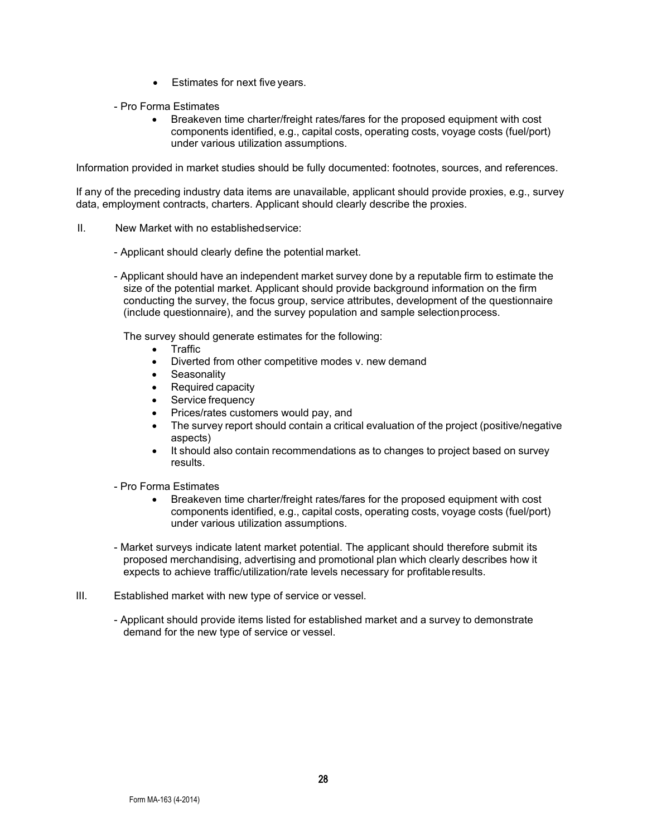- Estimates for next five years.
- Pro Forma Estimates
	- Breakeven time charter/freight rates/fares for the proposed equipment with cost components identified, e.g., capital costs, operating costs, voyage costs (fuel/port) under various utilization assumptions.

Information provided in market studies should be fully documented: footnotes, sources, and references.

If any of the preceding industry data items are unavailable, applicant should provide proxies, e.g., survey data, employment contracts, charters. Applicant should clearly describe the proxies.

- II. New Market with no establishedservice:
	- Applicant should clearly define the potential market.
	- Applicant should have an independent market survey done by a reputable firm to estimate the size of the potential market. Applicant should provide background information on the firm conducting the survey, the focus group, service attributes, development of the questionnaire (include questionnaire), and the survey population and sample selectionprocess.

The survey should generate estimates for the following:

- Traffic
- Diverted from other competitive modes v. new demand
- Seasonality
- Required capacity
- Service frequency
- Prices/rates customers would pay, and
- The survey report should contain a critical evaluation of the project (positive/negative aspects)
- It should also contain recommendations as to changes to project based on survey results.
- Pro Forma Estimates
	- Breakeven time charter/freight rates/fares for the proposed equipment with cost components identified, e.g., capital costs, operating costs, voyage costs (fuel/port) under various utilization assumptions.
- Market surveys indicate latent market potential. The applicant should therefore submit its proposed merchandising, advertising and promotional plan which clearly describes how it expects to achieve traffic/utilization/rate levels necessary for profitableresults.
- III. Established market with new type of service or vessel.
	- Applicant should provide items listed for established market and a survey to demonstrate demand for the new type of service or vessel.